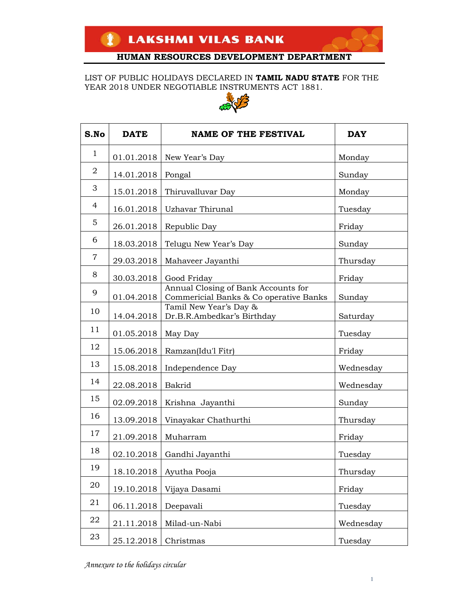LIST OF PUBLIC HOLIDAYS DECLARED IN **TAMIL NADU STATE** FOR THE YEAR 2018 UNDER NEGOTIABLE INSTRUMENTS ACT 1881.



| S.No           | <b>DATE</b> | <b>NAME OF THE FESTIVAL</b>                                                   | <b>DAY</b> |
|----------------|-------------|-------------------------------------------------------------------------------|------------|
| $\mathbf{1}$   | 01.01.2018  | New Year's Day                                                                | Monday     |
| $\overline{2}$ | 14.01.2018  | Pongal                                                                        | Sunday     |
| 3              | 15.01.2018  | Thiruvalluvar Day                                                             | Monday     |
| $\overline{4}$ | 16.01.2018  | Uzhavar Thirunal                                                              | Tuesday    |
| 5              | 26.01.2018  | Republic Day                                                                  | Friday     |
| 6              | 18.03.2018  | Telugu New Year's Day                                                         | Sunday     |
| $\overline{7}$ | 29.03.2018  | Mahaveer Jayanthi                                                             | Thursday   |
| 8              | 30.03.2018  | Good Friday                                                                   | Friday     |
| 9              | 01.04.2018  | Annual Closing of Bank Accounts for<br>Commericial Banks & Co operative Banks | Sunday     |
| 10             | 14.04.2018  | Tamil New Year's Day &<br>Dr.B.R.Ambedkar's Birthday                          | Saturday   |
| 11             | 01.05.2018  | May Day                                                                       | Tuesday    |
| 12             | 15.06.2018  | Ramzan(Idu'l Fitr)                                                            | Friday     |
| 13             | 15.08.2018  | Independence Day                                                              | Wednesday  |
| 14             | 22.08.2018  | Bakrid                                                                        | Wednesday  |
| 15             | 02.09.2018  | Krishna Jayanthi                                                              | Sunday     |
| 16             | 13.09.2018  | Vinayakar Chathurthi                                                          | Thursday   |
| 17             | 21.09.2018  | Muharram                                                                      | Friday     |
| 18             | 02.10.2018  | Gandhi Jayanthi                                                               | Tuesday    |
| 19             | 18.10.2018  | Ayutha Pooja                                                                  | Thursday   |
| 20             | 19.10.2018  | Vijaya Dasami                                                                 | Friday     |
| 21             | 06.11.2018  | Deepavali                                                                     | Tuesday    |
| 22             | 21.11.2018  | Milad-un-Nabi                                                                 | Wednesday  |
| 23             | 25.12.2018  | Christmas                                                                     | Tuesday    |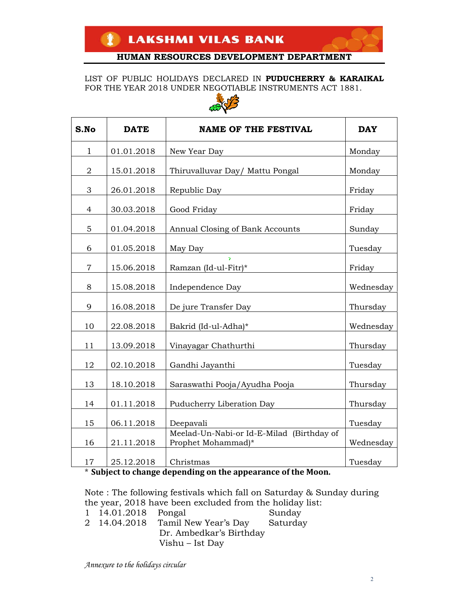LIST OF PUBLIC HOLIDAYS DECLARED IN **PUDUCHERRY & KARAIKAL**  FOR THE YEAR 2018 UNDER NEGOTIABLE INSTRUMENTS ACT 1881.



| S.No           | <b>DATE</b> | <b>NAME OF THE FESTIVAL</b>                                     | <b>DAY</b> |
|----------------|-------------|-----------------------------------------------------------------|------------|
| $\mathbf 1$    | 01.01.2018  | New Year Day                                                    | Monday     |
| $\overline{2}$ | 15.01.2018  | Thiruvalluvar Day/ Mattu Pongal                                 | Monday     |
| 3              | 26.01.2018  | Republic Day                                                    | Friday     |
| $\overline{4}$ | 30.03.2018  | Good Friday                                                     | Friday     |
| 5              | 01.04.2018  | Annual Closing of Bank Accounts                                 | Sunday     |
| 6              | 01.05.2018  | May Day                                                         | Tuesday    |
| $\overline{7}$ | 15.06.2018  | Ramzan (Id-ul-Fitr)*                                            | Friday     |
| 8              | 15.08.2018  | Independence Day                                                | Wednesday  |
| 9              | 16.08.2018  | De jure Transfer Day                                            | Thursday   |
| 10             | 22.08.2018  | Bakrid (Id-ul-Adha)*                                            | Wednesday  |
| 11             | 13.09.2018  | Vinayagar Chathurthi                                            | Thursday   |
| 12             | 02.10.2018  | Gandhi Jayanthi                                                 | Tuesday    |
| 13             | 18.10.2018  | Saraswathi Pooja/Ayudha Pooja                                   | Thursday   |
| 14             | 01.11.2018  | Puducherry Liberation Day                                       | Thursday   |
| 15             | 06.11.2018  | Deepavali                                                       | Tuesday    |
| 16             | 21.11.2018  | Meelad-Un-Nabi-or Id-E-Milad (Birthday of<br>Prophet Mohammad)* | Wednesday  |
| 17             | 25.12.2018  | Christmas                                                       | Tuesday    |

\* **Subject to change depending on the appearance of the Moon.** 

Note : The following festivals which fall on Saturday & Sunday during the year, 2018 have been excluded from the holiday list: 1 14.01.2018 Pongal Sunday 2 14.04.2018 Tamil New Year's Day Saturday Dr. Ambedkar's Birthday

Vishu – Ist Day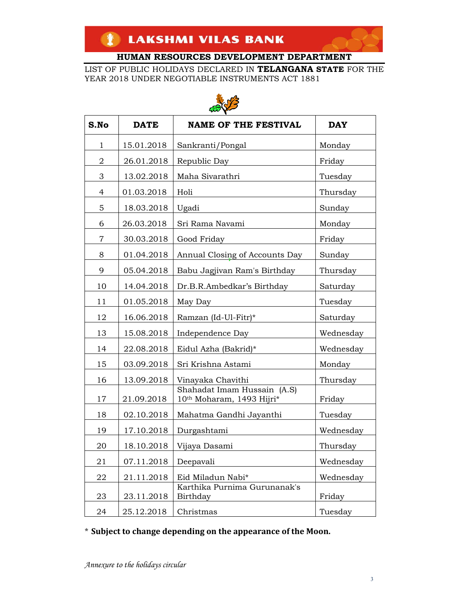LIST OF PUBLIC HOLIDAYS DECLARED IN **TELANGANA STATE** FOR THE YEAR 2018 UNDER NEGOTIABLE INSTRUMENTS ACT 1881



| an V         |             |                                                          |            |
|--------------|-------------|----------------------------------------------------------|------------|
| S.No         | <b>DATE</b> | <b>NAME OF THE FESTIVAL</b>                              | <b>DAY</b> |
| $\mathbf{1}$ | 15.01.2018  | Sankranti/Pongal                                         | Monday     |
| 2            | 26.01.2018  | Republic Day                                             | Friday     |
| 3            | 13.02.2018  | Maha Sivarathri                                          | Tuesday    |
| 4            | 01.03.2018  | Holi                                                     | Thursday   |
| 5            | 18.03.2018  | Ugadi                                                    | Sunday     |
| 6            | 26.03.2018  | Sri Rama Navami                                          | Monday     |
| 7            | 30.03.2018  | Good Friday                                              | Friday     |
| 8            | 01.04.2018  | Annual Closing of Accounts Day                           | Sunday     |
| 9            | 05.04.2018  | Babu Jagjivan Ram's Birthday                             | Thursday   |
| 10           | 14.04.2018  | Dr.B.R.Ambedkar's Birthday                               | Saturday   |
| 11           | 01.05.2018  | May Day                                                  | Tuesday    |
| 12           | 16.06.2018  | Ramzan (Id-Ul-Fitr)*                                     | Saturday   |
| 13           | 15.08.2018  | Independence Day                                         | Wednesday  |
| 14           | 22.08.2018  | Eidul Azha (Bakrid)*                                     | Wednesday  |
| 15           | 03.09.2018  | Sri Krishna Astami                                       | Monday     |
| 16           | 13.09.2018  | Vinayaka Chavithi                                        | Thursday   |
| 17           | 21.09.2018  | Shahadat Imam Hussain (A.S)<br>10th Moharam, 1493 Hijri* | Friday     |
| 18           | 02.10.2018  | Mahatma Gandhi Jayanthi                                  | Tuesday    |
| 19           | 17.10.2018  | Durgashtami                                              | Wednesday  |
| 20           | 18.10.2018  | Vijaya Dasami                                            | Thursday   |
| 21           | 07.11.2018  | Deepavali                                                | Wednesday  |
| 22           | 21.11.2018  | Eid Miladun Nabi*                                        | Wednesday  |
| 23           | 23.11.2018  | Karthika Purnima Gurunanak's<br>Birthday                 | Friday     |
| 24           | 25.12.2018  | Christmas                                                | Tuesday    |

\* **Subject to change depending on the appearance of the Moon.**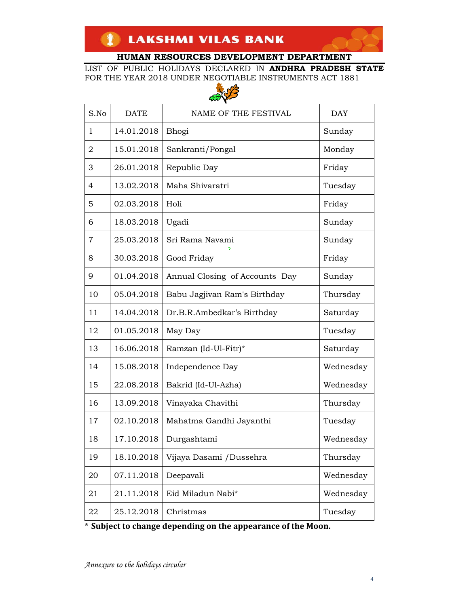LIST OF PUBLIC HOLIDAYS DECLARED IN **ANDHRA PRADESH STATE**  FOR THE YEAR 2018 UNDER NEGOTIABLE INSTRUMENTS ACT 1881



|                | in V        |                                |            |  |
|----------------|-------------|--------------------------------|------------|--|
| S.No           | <b>DATE</b> | NAME OF THE FESTIVAL           | <b>DAY</b> |  |
| $\mathbf{1}$   | 14.01.2018  | Bhogi                          | Sunday     |  |
| $\overline{2}$ | 15.01.2018  | Sankranti/Pongal               | Monday     |  |
| 3              | 26.01.2018  | Republic Day                   | Friday     |  |
| 4              | 13.02.2018  | Maha Shivaratri                | Tuesday    |  |
| 5              | 02.03.2018  | Holi                           | Friday     |  |
| 6              | 18.03.2018  | Ugadi                          | Sunday     |  |
| 7              | 25.03.2018  | Sri Rama Navami                | Sunday     |  |
| 8              | 30.03.2018  | Good Friday                    | Friday     |  |
| 9              | 01.04.2018  | Annual Closing of Accounts Day | Sunday     |  |
| 10             | 05.04.2018  | Babu Jagjivan Ram's Birthday   | Thursday   |  |
| 11             | 14.04.2018  | Dr.B.R.Ambedkar's Birthday     | Saturday   |  |
| 12             | 01.05.2018  | May Day                        | Tuesday    |  |
| 13             | 16.06.2018  | Ramzan (Id-Ul-Fitr)*           | Saturday   |  |
| 14             | 15.08.2018  | Independence Day               | Wednesday  |  |
| 15             | 22.08.2018  | Bakrid (Id-Ul-Azha)            | Wednesday  |  |
| 16             | 13.09.2018  | Vinayaka Chavithi              | Thursday   |  |
| 17             | 02.10.2018  | Mahatma Gandhi Jayanthi        | Tuesday    |  |
| 18             | 17.10.2018  | Durgashtami                    | Wednesday  |  |
| 19             | 18.10.2018  | Vijaya Dasami /Dussehra        | Thursday   |  |
| 20             | 07.11.2018  | Deepavali                      | Wednesday  |  |
| 21             | 21.11.2018  | Eid Miladun Nabi*              | Wednesday  |  |
| 22             | 25.12.2018  | Christmas                      | Tuesday    |  |

\* **Subject to change depending on the appearance of the Moon.**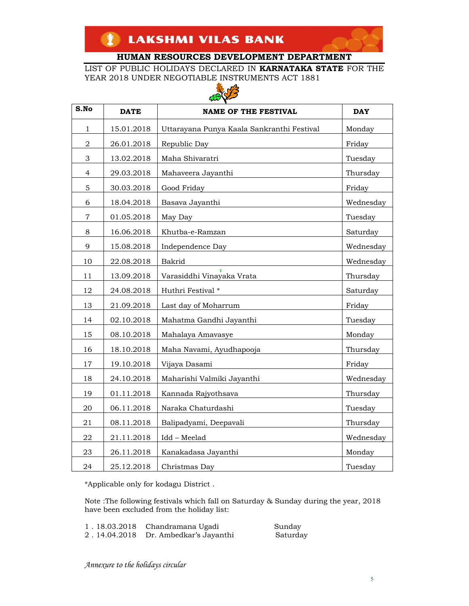LIST OF PUBLIC HOLIDAYS DECLARED IN **KARNATAKA STATE** FOR THE YEAR 2018 UNDER NEGOTIABLE INSTRUMENTS ACT 1881



| S.No                      | <b>DATE</b> | $\omega$<br><b>NAME OF THE FESTIVAL</b>    | <b>DAY</b> |
|---------------------------|-------------|--------------------------------------------|------------|
|                           |             |                                            |            |
| 1                         | 15.01.2018  | Uttarayana Punya Kaala Sankranthi Festival | Monday     |
| 2                         | 26.01.2018  | Republic Day                               | Friday     |
| $\ensuremath{\mathsf{3}}$ | 13.02.2018  | Maha Shivaratri                            | Tuesday    |
| $\overline{4}$            | 29.03.2018  | Mahaveera Jayanthi                         | Thursday   |
| $\mathbf 5$               | 30.03.2018  | Good Friday                                | Friday     |
| 6                         | 18.04.2018  | Basava Jayanthi                            | Wednesday  |
| 7                         | 01.05.2018  | May Day                                    | Tuesday    |
| 8                         | 16.06.2018  | Khutba-e-Ramzan                            | Saturday   |
| 9                         | 15.08.2018  | Independence Day                           | Wednesday  |
| 10                        | 22.08.2018  | Bakrid                                     | Wednesday  |
| 11                        | 13.09.2018  | Varasiddhi Vinayaka Vrata                  | Thursday   |
| 12                        | 24.08.2018  | Huthri Festival *                          | Saturday   |
| 13                        | 21.09.2018  | Last day of Moharrum                       | Friday     |
| 14                        | 02.10.2018  | Mahatma Gandhi Jayanthi                    | Tuesday    |
| 15                        | 08.10.2018  | Mahalaya Amavasye                          | Monday     |
| 16                        | 18.10.2018  | Maha Navami, Ayudhapooja                   | Thursday   |
| 17                        | 19.10.2018  | Vijaya Dasami                              | Friday     |
| 18                        | 24.10.2018  | Maharishi Valmiki Jayanthi                 | Wednesday  |
| 19                        | 01.11.2018  | Kannada Rajyothsava                        | Thursday   |
| 20                        | 06.11.2018  | Naraka Chaturdashi                         | Tuesday    |
| 21                        | 08.11.2018  | Balipadyami, Deepavali                     | Thursday   |
| 22                        | 21.11.2018  | Idd - Meelad                               | Wednesday  |
| 23                        | 26.11.2018  | Kanakadasa Jayanthi                        | Monday     |
| 24                        | 25.12.2018  | Christmas Dav                              | Tuesday    |

\*Applicable only for kodagu District .

Note :The following festivals which fall on Saturday & Sunday during the year, 2018 have been excluded from the holiday list:

| 1.18.03.2018 Chandramana Ugadi       | Sunday   |
|--------------------------------------|----------|
| 2.14.04.2018 Dr. Ambedkar's Jayanthi | Saturday |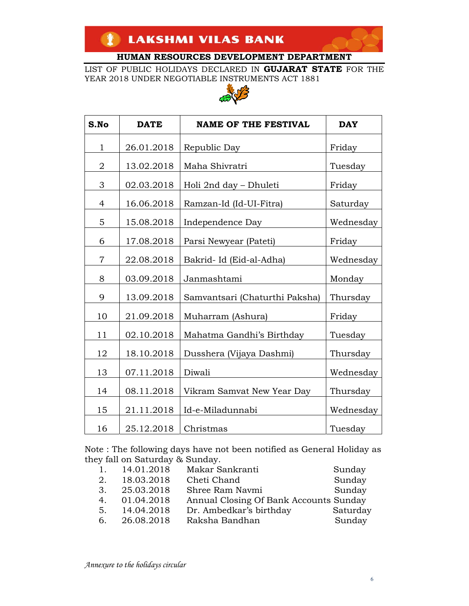LIST OF PUBLIC HOLIDAYS DECLARED IN **GUJARAT STATE** FOR THE YEAR 2018 UNDER NEGOTIABLE INSTRUMENTS ACT 1881



| S.No           | <b>DATE</b> | <b>NAME OF THE FESTIVAL</b>    | <b>DAY</b> |
|----------------|-------------|--------------------------------|------------|
| $\mathbf{1}$   | 26.01.2018  | Republic Day                   | Friday     |
| $\overline{2}$ | 13.02.2018  | Maha Shivratri                 | Tuesday    |
| 3              | 02.03.2018  | Holi 2nd day – Dhuleti         | Friday     |
| $\overline{4}$ | 16.06.2018  | Ramzan-Id (Id-UI-Fitra)        | Saturday   |
| 5              | 15.08.2018  | Independence Day               | Wednesday  |
| 6              | 17.08.2018  | Parsi Newyear (Pateti)         | Friday     |
| $\overline{7}$ | 22.08.2018  | Bakrid- Id (Eid-al-Adha)       | Wednesday  |
| 8              | 03.09.2018  | Janmashtami                    | Monday     |
| 9              | 13.09.2018  | Samvantsari (Chaturthi Paksha) | Thursday   |
| 10             | 21.09.2018  | Muharram (Ashura)              | Friday     |
| 11             | 02.10.2018  | Mahatma Gandhi's Birthday      | Tuesday    |
| 12             | 18.10.2018  | Dusshera (Vijaya Dashmi)       | Thursday   |
| 13             | 07.11.2018  | Diwali                         | Wednesday  |
| 14             | 08.11.2018  | Vikram Samvat New Year Day     | Thursday   |
| 15             | 21.11.2018  | Id-e-Miladunnabi               | Wednesday  |
| 16             | 25.12.2018  | Christmas                      | Tuesday    |

Note : The following days have not been notified as General Holiday as they fall on Saturday & Sunday.

| 1. | 14.01.2018 | Makar Sankranti                        | Sunday   |
|----|------------|----------------------------------------|----------|
| 2. | 18.03.2018 | Cheti Chand                            | Sunday   |
| 3. | 25.03.2018 | Shree Ram Navmi                        | Sunday   |
| 4. | 01.04.2018 | Annual Closing Of Bank Accounts Sunday |          |
| 5. | 14.04.2018 | Dr. Ambedkar's birthday                | Saturday |
| 6. | 26.08.2018 | Raksha Bandhan                         | Sunday   |
|    |            |                                        |          |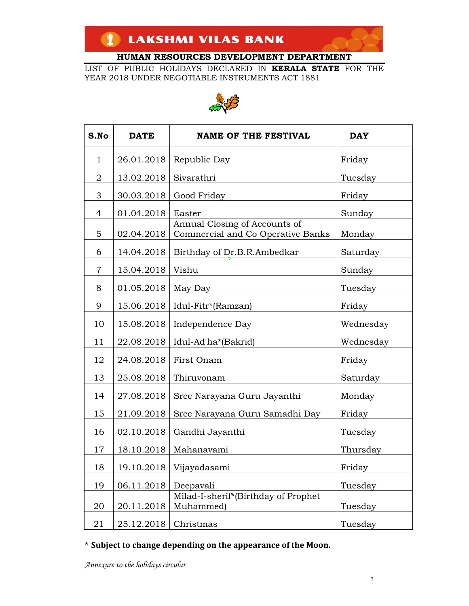LIST OF PUBLIC HOLIDAYS DECLARED IN **KERALA STATE** FOR THE YEAR 2018 UNDER NEGOTIABLE INSTRUMENTS ACT 1881



| S.No           | <b>DATE</b> | <b>NAME OF THE FESTIVAL</b>                                        | <b>DAY</b> |
|----------------|-------------|--------------------------------------------------------------------|------------|
| 1              | 26.01.2018  | Republic Day                                                       | Friday     |
| $\overline{2}$ | 13.02.2018  | Sivarathri                                                         | Tuesday    |
| 3              | 30.03.2018  | Good Friday                                                        | Friday     |
| 4              | 01.04.2018  | Easter                                                             | Sunday     |
| 5              | 02.04.2018  | Annual Closing of Accounts of<br>Commercial and Co Operative Banks | Monday     |
| 6              | 14.04.2018  | Birthday of Dr.B.R.Ambedkar                                        | Saturday   |
| $\overline{7}$ | 15.04.2018  | Vishu                                                              | Sunday     |
| 8              | 01.05.2018  | May Day                                                            | Tuesday    |
| 9              | 15.06.2018  | Idul-Fitr*(Ramzan)                                                 | Friday     |
| 10             | 15.08.2018  | Independence Day                                                   | Wednesday  |
| 11             | 22.08.2018  | Idul-Ad'ha*(Bakrid)                                                | Wednesday  |
| 12             | 24.08.2018  | First Onam                                                         | Friday     |
| 13             | 25.08.2018  | Thiruvonam                                                         | Saturday   |
| 14             | 27.08.2018  | Sree Narayana Guru Jayanthi                                        | Monday     |
| 15             | 21.09.2018  | Sree Narayana Guru Samadhi Day                                     | Friday     |
| 16             | 02.10.2018  | Gandhi Jayanthi                                                    | Tuesday    |
| 17             | 18.10.2018  | Mahanavami                                                         | Thursday   |
| 18             |             | 19.10.2018   Vijayadasami                                          | Friday     |
| 19             | 06.11.2018  | Deepavali                                                          | Tuesday    |
| 20             | 20.11.2018  | Milad-I-sherif*(Birthday of Prophet<br>Muhammed)                   | Tuesday    |
| 21             | 25.12.2018  | Christmas                                                          | Tuesday    |

\* **Subject to change depending on the appearance of the Moon.**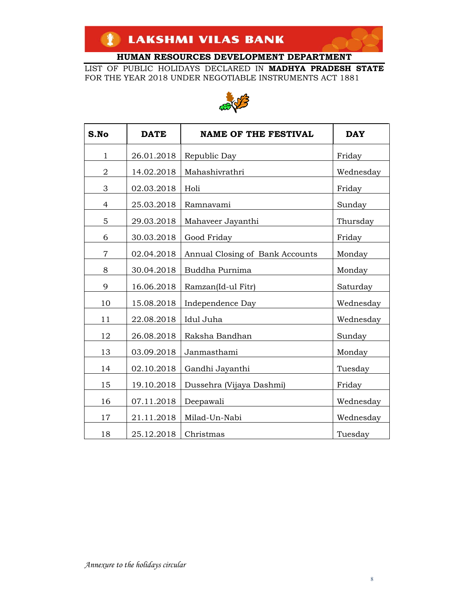LIST OF PUBLIC HOLIDAYS DECLARED IN **MADHYA PRADESH STATE** FOR THE YEAR 2018 UNDER NEGOTIABLE INSTRUMENTS ACT 1881



| S.No           | <b>DATE</b> | <b>NAME OF THE FESTIVAL</b>     | <b>DAY</b> |
|----------------|-------------|---------------------------------|------------|
| 1              | 26.01.2018  | Republic Day                    | Friday     |
| $\overline{2}$ | 14.02.2018  | Mahashivrathri                  | Wednesday  |
| 3              | 02.03.2018  | Holi                            | Friday     |
| 4              | 25.03.2018  | Ramnavami                       | Sunday     |
| 5              | 29.03.2018  | Mahaveer Jayanthi               | Thursday   |
| 6              | 30.03.2018  | Good Friday                     | Friday     |
| $\overline{7}$ | 02.04.2018  | Annual Closing of Bank Accounts | Monday     |
| 8              | 30.04.2018  | Buddha Purnima                  | Monday     |
| 9              | 16.06.2018  | Ramzan(Id-ul Fitr)              | Saturday   |
| 10             | 15.08.2018  | Independence Day                | Wednesday  |
| 11             | 22.08.2018  | Idul Juha                       | Wednesday  |
| 12             | 26.08.2018  | Raksha Bandhan                  | Sunday     |
| 13             | 03.09.2018  | Janmasthami                     | Monday     |
| 14             | 02.10.2018  | Gandhi Jayanthi                 | Tuesday    |
| 15             | 19.10.2018  | Dussehra (Vijaya Dashmi)        | Friday     |
| 16             | 07.11.2018  | Deepawali                       | Wednesday  |
| 17             | 21.11.2018  | Milad-Un-Nabi                   | Wednesday  |
| 18             | 25.12.2018  | Christmas                       | Tuesday    |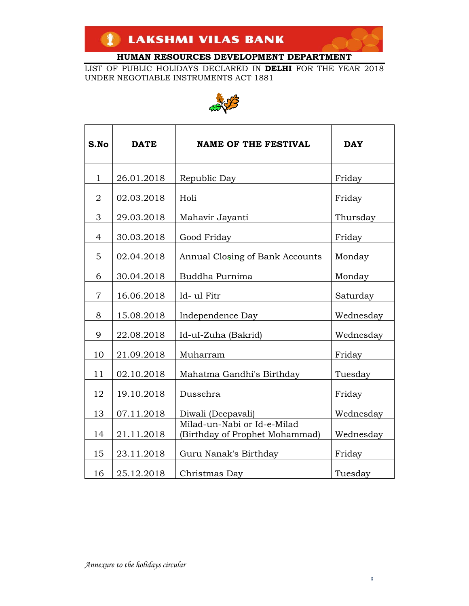LIST OF PUBLIC HOLIDAYS DECLARED IN **DELHI** FOR THE YEAR 2018 UNDER NEGOTIABLE INSTRUMENTS ACT 1881



| S.No           | <b>DATE</b> | <b>NAME OF THE FESTIVAL</b>                                   | <b>DAY</b> |
|----------------|-------------|---------------------------------------------------------------|------------|
| $\mathbf 1$    | 26.01.2018  | Republic Day                                                  | Friday     |
| $\overline{2}$ | 02.03.2018  | Holi                                                          | Friday     |
| 3              | 29.03.2018  | Mahavir Jayanti                                               | Thursday   |
| $\overline{4}$ | 30.03.2018  | Good Friday                                                   | Friday     |
| 5              | 02.04.2018  | Annual Closing of Bank Accounts                               | Monday     |
| 6              | 30.04.2018  | Buddha Purnima                                                | Monday     |
| $\overline{7}$ | 16.06.2018  | Id-ul Fitr                                                    | Saturday   |
| 8              | 15.08.2018  | Independence Day                                              | Wednesday  |
| 9              | 22.08.2018  | Id-uI-Zuha (Bakrid)                                           | Wednesday  |
| 10             | 21.09.2018  | Muharram                                                      | Friday     |
| 11             | 02.10.2018  | Mahatma Gandhi's Birthday                                     | Tuesday    |
| 12             | 19.10.2018  | Dussehra                                                      | Friday     |
| 13             | 07.11.2018  | Diwali (Deepavali)                                            | Wednesday  |
| 14             | 21.11.2018  | Milad-un-Nabi or Id-e-Milad<br>(Birthday of Prophet Mohammad) | Wednesday  |
| 15             | 23.11.2018  | Guru Nanak's Birthday                                         | Friday     |
| 16             | 25.12.2018  | Christmas Day                                                 | Tuesday    |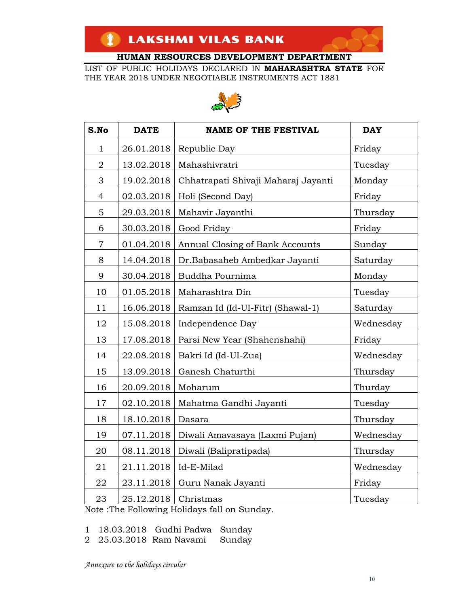LIST OF PUBLIC HOLIDAYS DECLARED IN **MAHARASHTRA STATE** FOR THE YEAR 2018 UNDER NEGOTIABLE INSTRUMENTS ACT 1881



| S.No           | <b>DATE</b> | <b>NAME OF THE FESTIVAL</b>         | <b>DAY</b> |
|----------------|-------------|-------------------------------------|------------|
| $\mathbf{1}$   | 26.01.2018  | Republic Day                        | Friday     |
| $\overline{2}$ | 13.02.2018  | Mahashivratri                       | Tuesday    |
| 3              | 19.02.2018  | Chhatrapati Shivaji Maharaj Jayanti | Monday     |
| $\overline{4}$ | 02.03.2018  | Holi (Second Day)                   | Friday     |
| 5              | 29.03.2018  | Mahavir Jayanthi                    | Thursday   |
| 6              | 30.03.2018  | Good Friday                         | Friday     |
| $\overline{7}$ | 01.04.2018  | Annual Closing of Bank Accounts     | Sunday     |
| 8              | 14.04.2018  | Dr.Babasaheb Ambedkar Jayanti       | Saturday   |
| 9              | 30.04.2018  | Buddha Pournima                     | Monday     |
| 10             | 01.05.2018  | Maharashtra Din                     | Tuesday    |
| 11             | 16.06.2018  | Ramzan Id (Id-UI-Fitr) (Shawal-1)   | Saturday   |
| 12             | 15.08.2018  | Independence Day                    | Wednesday  |
| 13             | 17.08.2018  | Parsi New Year (Shahenshahi)        | Friday     |
| 14             | 22.08.2018  | Bakri Id (Id-UI-Zua)                | Wednesday  |
| 15             | 13.09.2018  | Ganesh Chaturthi                    | Thursday   |
| 16             | 20.09.2018  | Moharum                             | Thurday    |
| 17             | 02.10.2018  | Mahatma Gandhi Jayanti              | Tuesday    |
| 18             | 18.10.2018  | Dasara                              | Thursday   |
| 19             | 07.11.2018  | Diwali Amavasaya (Laxmi Pujan)      | Wednesday  |
| 20             | 08.11.2018  | Diwali (Balipratipada)              | Thursday   |
| 21             | 21.11.2018  | Id-E-Milad                          | Wednesday  |
| 22             | 23.11.2018  | Guru Nanak Jayanti                  | Friday     |
| 23             | 25.12.2018  | Christmas                           | Tuesday    |

Note :The Following Holidays fall on Sunday.

1 18.03.2018 Gudhi Padwa Sunday

2 25.03.2018 Ram Navami Sunday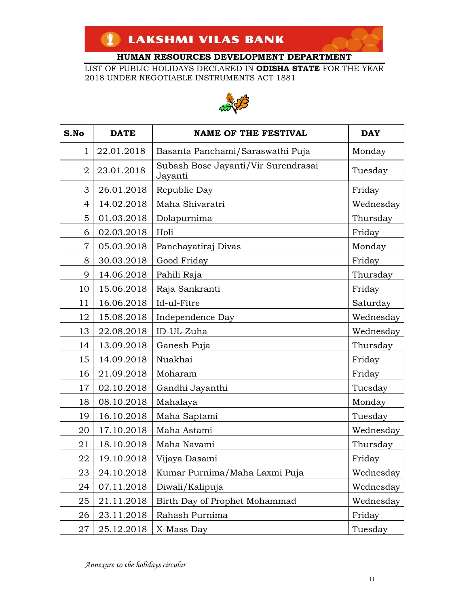LIST OF PUBLIC HOLIDAYS DECLARED IN **ODISHA STATE** FOR THE YEAR 2018 UNDER NEGOTIABLE INSTRUMENTS ACT 1881



| S.No           | <b>DATE</b> | <b>NAME OF THE FESTIVAL</b>                    | <b>DAY</b> |
|----------------|-------------|------------------------------------------------|------------|
| 1              | 22.01.2018  | Basanta Panchami/Saraswathi Puja               | Monday     |
| $\overline{2}$ | 23.01.2018  | Subash Bose Jayanti/Vir Surendrasai<br>Jayanti | Tuesday    |
| 3              | 26.01.2018  | Republic Day                                   | Friday     |
| $\overline{4}$ | 14.02.2018  | Maha Shivaratri                                | Wednesday  |
| 5              | 01.03.2018  | Dolapurnima                                    | Thursday   |
| 6              | 02.03.2018  | Holi                                           | Friday     |
| $\overline{7}$ | 05.03.2018  | Panchayatiraj Divas                            | Monday     |
| 8              | 30.03.2018  | Good Friday                                    | Friday     |
| 9              | 14.06.2018  | Pahili Raja                                    | Thursday   |
| 10             | 15.06.2018  | Raja Sankranti                                 | Friday     |
| 11             | 16.06.2018  | Id-ul-Fitre                                    | Saturday   |
| 12             | 15.08.2018  | Independence Day                               | Wednesday  |
| 13             | 22.08.2018  | ID-UL-Zuha                                     | Wednesday  |
| 14             | 13.09.2018  | Ganesh Puja                                    | Thursday   |
| 15             | 14.09.2018  | Nuakhai                                        | Friday     |
| 16             | 21.09.2018  | Moharam                                        | Friday     |
| 17             | 02.10.2018  | Gandhi Jayanthi                                | Tuesday    |
| 18             | 08.10.2018  | Mahalaya                                       | Monday     |
| 19             | 16.10.2018  | Maha Saptami                                   | Tuesday    |
| 20             | 17.10.2018  | Maha Astami                                    | Wednesday  |
| 21             | 18.10.2018  | Maha Navami                                    | Thursday   |
| 22             | 19.10.2018  | Vijaya Dasami                                  | Friday     |
| 23             | 24.10.2018  | Kumar Purnima/Maha Laxmi Puja                  | Wednesday  |
| 24             | 07.11.2018  | Diwali/Kalipuja                                | Wednesday  |
| 25             | 21.11.2018  | Birth Day of Prophet Mohammad                  | Wednesday  |
| 26             | 23.11.2018  | Rahash Purnima                                 | Friday     |
| $27\,$         | 25.12.2018  | X-Mass Day                                     | Tuesday    |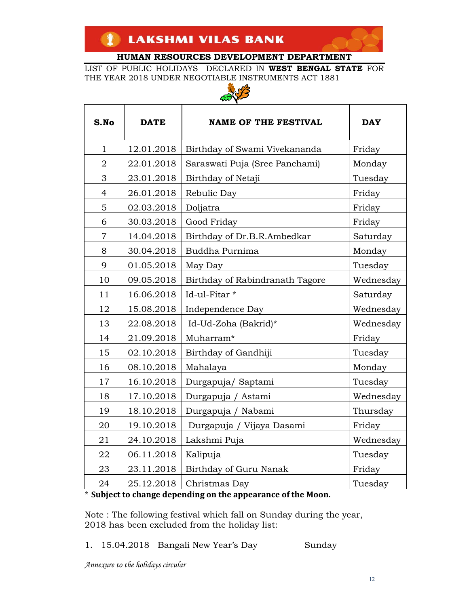LIST OF PUBLIC HOLIDAYS DECLARED IN **WEST BENGAL STATE** FOR THE YEAR 2018 UNDER NEGOTIABLE INSTRUMENTS ACT 1881



| للمكمة         |             |                                 |            |
|----------------|-------------|---------------------------------|------------|
| S.No           | <b>DATE</b> | <b>NAME OF THE FESTIVAL</b>     | <b>DAY</b> |
| $\mathbf{1}$   | 12.01.2018  | Birthday of Swami Vivekananda   | Friday     |
| $\overline{2}$ | 22.01.2018  | Saraswati Puja (Sree Panchami)  | Monday     |
| 3              | 23.01.2018  | Birthday of Netaji              | Tuesday    |
| $\overline{4}$ | 26.01.2018  | Rebulic Day                     | Friday     |
| 5              | 02.03.2018  | Doljatra                        | Friday     |
| 6              | 30.03.2018  | Good Friday                     | Friday     |
| $\overline{7}$ | 14.04.2018  | Birthday of Dr.B.R.Ambedkar     | Saturday   |
| 8              | 30.04.2018  | Buddha Purnima                  | Monday     |
| 9              | 01.05.2018  | May Day                         | Tuesday    |
| 10             | 09.05.2018  | Birthday of Rabindranath Tagore | Wednesday  |
| 11             | 16.06.2018  | Id-ul-Fitar *                   | Saturday   |
| 12             | 15.08.2018  | Independence Day                | Wednesday  |
| 13             | 22.08.2018  | Id-Ud-Zoha (Bakrid)*            | Wednesday  |
| 14             | 21.09.2018  | Muharram*                       | Friday     |
| 15             | 02.10.2018  | Birthday of Gandhiji            | Tuesday    |
| 16             | 08.10.2018  | Mahalaya                        | Monday     |
| 17             | 16.10.2018  | Durgapuja/ Saptami              | Tuesday    |
| 18             | 17.10.2018  | Durgapuja / Astami              | Wednesday  |
| 19             | 18.10.2018  | Durgapuja / Nabami              | Thursday   |
| 20             | 19.10.2018  | Durgapuja / Vijaya Dasami       | Friday     |
| 21             | 24.10.2018  | Lakshmi Puja                    | Wednesday  |
| 22             | 06.11.2018  | Kalipuja                        | Tuesday    |
| 23             | 23.11.2018  | Birthday of Guru Nanak          | Friday     |
| 24             | 25.12.2018  | Christmas Day                   | Tuesday    |

\* **Subject to change depending on the appearance of the Moon.** 

Note : The following festival which fall on Sunday during the year, 2018 has been excluded from the holiday list:

1. 15.04.2018 Bangali New Year's Day Sunday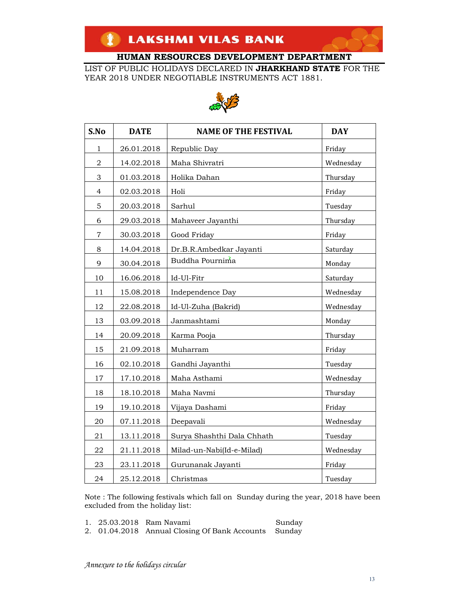LIST OF PUBLIC HOLIDAYS DECLARED IN **JHARKHAND STATE** FOR THE YEAR 2018 UNDER NEGOTIABLE INSTRUMENTS ACT 1881.



| S.No           | <b>DATE</b> | <b>NAME OF THE FESTIVAL</b> | <b>DAY</b> |  |
|----------------|-------------|-----------------------------|------------|--|
| 1              | 26.01.2018  | Republic Day                | Friday     |  |
| $\overline{2}$ | 14.02.2018  | Maha Shivratri              | Wednesday  |  |
| 3              | 01.03.2018  | Holika Dahan                | Thursday   |  |
| $\overline{4}$ | 02.03.2018  | Holi                        | Friday     |  |
| 5              | 20.03.2018  | Sarhul                      | Tuesday    |  |
| 6              | 29.03.2018  | Mahaveer Jayanthi           | Thursday   |  |
| $\overline{7}$ | 30.03.2018  | Good Friday                 | Friday     |  |
| 8              | 14.04.2018  | Dr.B.R.Ambedkar Jayanti     | Saturday   |  |
| 9              | 30.04.2018  | Buddha Pournima             | Monday     |  |
| 10             | 16.06.2018  | Id-Ul-Fitr                  | Saturday   |  |
| 11             | 15.08.2018  | Independence Day            | Wednesday  |  |
| 12             | 22.08.2018  | Id-Ul-Zuha (Bakrid)         | Wednesday  |  |
| 13             | 03.09.2018  | Janmashtami                 | Monday     |  |
| 14             | 20.09.2018  | Karma Pooja                 | Thursday   |  |
| 15             | 21.09.2018  | Muharram                    | Friday     |  |
| 16             | 02.10.2018  | Gandhi Jayanthi             | Tuesday    |  |
| 17             | 17.10.2018  | Maha Asthami                | Wednesday  |  |
| 18             | 18.10.2018  | Maha Navmi                  | Thursday   |  |
| 19             | 19.10.2018  | Vijaya Dashami              | Friday     |  |
| 20             | 07.11.2018  | Deepavali                   | Wednesday  |  |
| 21             | 13.11.2018  | Surya Shashthi Dala Chhath  | Tuesday    |  |
| 22             | 21.11.2018  | Milad-un-Nabi(Id-e-Milad)   | Wednesday  |  |
| 23             | 23.11.2018  | Gurunanak Jayanti           | Friday     |  |
| 24             | 25.12.2018  | Christmas                   | Tuesday    |  |

Note : The following festivals which fall on Sunday during the year, 2018 have been excluded from the holiday list:

1. 25.03.2018 Ram Navami Sunday

2. 01.04.2018 Annual Closing Of Bank Accounts Sunday